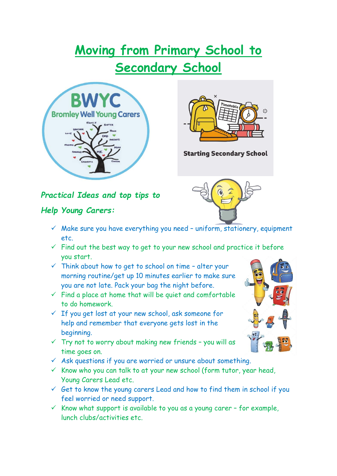# **Moving from Primary School to Secondary School**





**Starting Secondary School** 

## *Practical Ideas and top tips to*

#### *Help Young Carers:*

- $\checkmark$  Make sure you have everything you need uniform, stationery, equipment etc.
- $\checkmark$  Find out the best way to get to your new school and practice it before you start.
- $\checkmark$  Think about how to get to school on time alter your morning routine/get up 10 minutes earlier to make sure you are not late. Pack your bag the night before.
- $\checkmark$  Find a place at home that will be quiet and comfortable to do homework.
- $\checkmark$  If you get lost at your new school, ask someone for help and remember that everyone gets lost in the beginning.
- $\checkmark$  Try not to worry about making new friends you will as time goes on.
- $\checkmark$  Ask questions if you are worried or unsure about something.
- $\checkmark$  Know who you can talk to at your new school (form tutor, year head, Young Carers Lead etc.
- $\checkmark$  Get to know the young carers Lead and how to find them in school if you feel worried or need support.
- $\checkmark$  Know what support is available to you as a young carer for example, lunch clubs/activities etc.